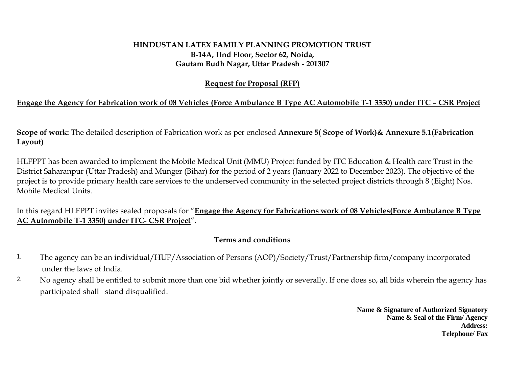## **HINDUSTAN LATEX FAMILY PLANNING PROMOTION TRUST B-14A, IInd Floor, Sector 62, Noida, Gautam Budh Nagar, Uttar Pradesh - 201307**

### **Request for Proposal (RFP)**

# **Engage the Agency for Fabrication work of 08 Vehicles (Force Ambulance B Type AC Automobile T-1 3350) under ITC – CSR Project**

**Scope of work:** The detailed description of Fabrication work as per enclosed **Annexure 5( Scope of Work)& Annexure 5.1(Fabrication Layout)**

HLFPPT has been awarded to implement the Mobile Medical Unit (MMU) Project funded by ITC Education & Health care Trust in the District Saharanpur (Uttar Pradesh) and Munger (Bihar) for the period of 2 years (January 2022 to December 2023). The objective of the project is to provide primary health care services to the underserved community in the selected project districts through 8 (Eight) Nos. Mobile Medical Units.

In this regard HLFPPT invites sealed proposals for "**Engage the Agency for Fabrications work of 08 Vehicles(Force Ambulance B Type AC Automobile T-1 3350) under ITC- CSR Project**".

# **Terms and conditions**

- 1. The agency can be an individual/HUF/Association of Persons (AOP)/Society/Trust/Partnership firm/company incorporated under the laws of India.
- 2. No agency shall be entitled to submit more than one bid whether jointly or severally. If one does so, all bids wherein the agency has participated shall stand disqualified.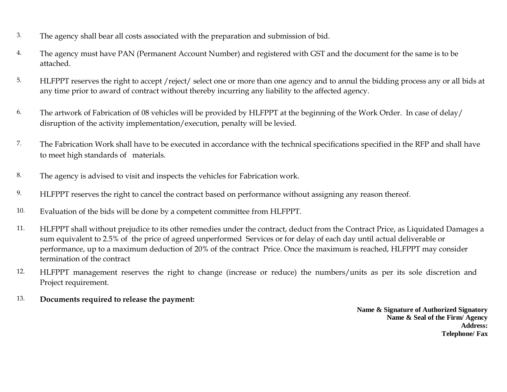- 3. The agency shall bear all costs associated with the preparation and submission of bid.
- 4. The agency must have PAN (Permanent Account Number) and registered with GST and the document for the same is to be attached.
- 5. HLFPPT reserves the right to accept /reject/ select one or more than one agency and to annul the bidding process any or all bids at any time prior to award of contract without thereby incurring any liability to the affected agency.
- 6. The artwork of Fabrication of 08 vehicles will be provided by HLFPPT at the beginning of the Work Order. In case of delay/ disruption of the activity implementation/execution, penalty will be levied.
- 7. The Fabrication Work shall have to be executed in accordance with the technical specifications specified in the RFP and shall have to meet high standards of materials.
- 8. The agency is advised to visit and inspects the vehicles for Fabrication work.
- 9. HLFPPT reserves the right to cancel the contract based on performance without assigning any reason thereof.
- 10. Evaluation of the bids will be done by a competent committee from HLFPPT.
- 11. HLFPPT shall without prejudice to its other remedies under the contract, deduct from the Contract Price, as Liquidated Damages a sum equivalent to 2.5% of the price of agreed unperformed Services or for delay of each day until actual deliverable or performance, up to a maximum deduction of 20% of the contract Price. Once the maximum is reached, HLFPPT may consider termination of the contract
- 12. HLFPPT management reserves the right to change (increase or reduce) the numbers/units as per its sole discretion and Project requirement.
- 13. **Documents required to release the payment:**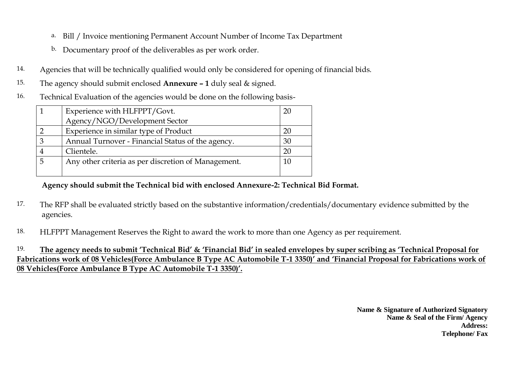- a. Bill / Invoice mentioning Permanent Account Number of Income Tax Department
- b. Documentary proof of the deliverables as per work order.
- 14. Agencies that will be technically qualified would only be considered for opening of financial bids.
- 15. The agency should submit enclosed **Annexure – 1** duly seal & signed.
- 16. Technical Evaluation of the agencies would be done on the following basis-

| Experience with HLFPPT/Govt.                        |    |  |
|-----------------------------------------------------|----|--|
| Agency/NGO/Development Sector                       |    |  |
| Experience in similar type of Product               | 20 |  |
| Annual Turnover - Financial Status of the agency.   | 30 |  |
| Clientele.                                          | 20 |  |
| Any other criteria as per discretion of Management. | 10 |  |
|                                                     |    |  |

 **Agency should submit the Technical bid with enclosed Annexure-2: Technical Bid Format.**

- 17. The RFP shall be evaluated strictly based on the substantive information/credentials/documentary evidence submitted by the agencies.
- 18. HLFPPT Management Reserves the Right to award the work to more than one Agency as per requirement.

19. **The agency needs to submit 'Technical Bid' & 'Financial Bid' in sealed envelopes by super scribing as 'Technical Proposal for Fabrications work of 08 Vehicles(Force Ambulance B Type AC Automobile T-1 3350)' and 'Financial Proposal for Fabrications work of 08 Vehicles(Force Ambulance B Type AC Automobile T-1 3350)'.**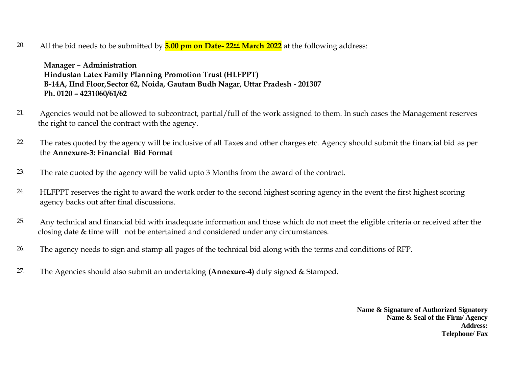20. All the bid needs to be submitted by **5.00 pm on Date- 22nd March 2022** at the following address:

 **Manager – Administration Hindustan Latex Family Planning Promotion Trust (HLFPPT) B-14A, IInd Floor,Sector 62, Noida, Gautam Budh Nagar, Uttar Pradesh - 201307 Ph. 0120 – 4231060/61/62**

- 21. Agencies would not be allowed to subcontract, partial/full of the work assigned to them. In such cases the Management reserves the right to cancel the contract with the agency.
- 22. The rates quoted by the agency will be inclusive of all Taxes and other charges etc. Agency should submit the financial bid as per the **Annexure-3: Financial Bid Format**
- 23. The rate quoted by the agency will be valid upto 3 Months from the award of the contract.
- 24. HLFPPT reserves the right to award the work order to the second highest scoring agency in the event the first highest scoring agency backs out after final discussions.
- 25. Any technical and financial bid with inadequate information and those which do not meet the eligible criteria or received after the closing date & time will not be entertained and considered under any circumstances.
- 26. The agency needs to sign and stamp all pages of the technical bid along with the terms and conditions of RFP.
- 27. The Agencies should also submit an undertaking **(Annexure-4)** duly signed & Stamped.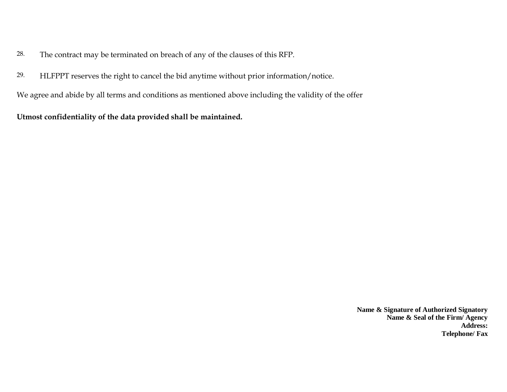- 28. The contract may be terminated on breach of any of the clauses of this RFP.
- 29. HLFPPT reserves the right to cancel the bid anytime without prior information/notice.

We agree and abide by all terms and conditions as mentioned above including the validity of the offer

**Utmost confidentiality of the data provided shall be maintained.**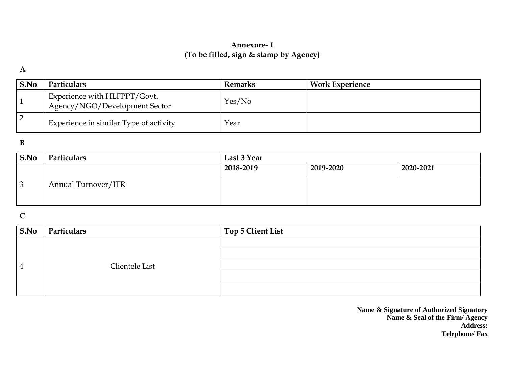# **Annexure- 1 (To be filled, sign & stamp by Agency)**

#### **A**

| S.No | <b>Particulars</b>                                            | Remarks | <b>Work Experience</b> |
|------|---------------------------------------------------------------|---------|------------------------|
|      | Experience with HLFPPT/Govt.<br>Agency/NGO/Development Sector | Yes/No  |                        |
|      | Experience in similar Type of activity                        | Year    |                        |

#### **B**

| S.No | Particulars         | Last 3 Year |           |           |  |
|------|---------------------|-------------|-----------|-----------|--|
|      |                     | 2018-2019   | 2019-2020 | 2020-2021 |  |
|      | Annual Turnover/ITR |             |           |           |  |

# **C**

| $\mathbf{S}.\mathbf{No}$ | Particulars    | Top 5 Client List |
|--------------------------|----------------|-------------------|
| $\overline{4}$           |                |                   |
|                          | Clientele List |                   |
|                          |                |                   |
|                          |                |                   |
|                          |                |                   |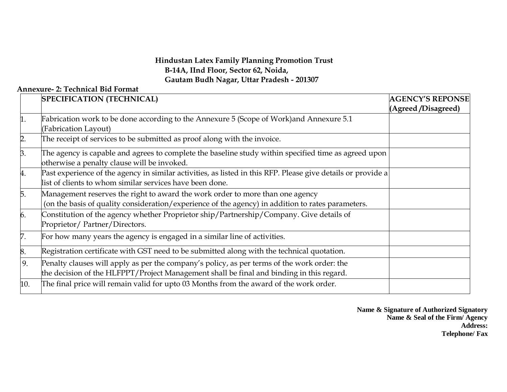## **Hindustan Latex Family Planning Promotion Trust B-14A, IInd Floor, Sector 62, Noida, Gautam Budh Nagar, Uttar Pradesh - 201307**

### **Annexure- 2: Technical Bid Format**

|              | <b>SPECIFICATION (TECHNICAL)</b>                                                                             | <b>AGENCY'S REPONSE</b> |
|--------------|--------------------------------------------------------------------------------------------------------------|-------------------------|
|              |                                                                                                              | (Agreed /Disagreed)     |
|              | Fabrication work to be done according to the Annexure 5 (Scope of Work) and Annexure 5.1                     |                         |
|              | (Fabrication Layout)                                                                                         |                         |
| $\mathsf{D}$ | The receipt of services to be submitted as proof along with the invoice.                                     |                         |
| β.           | The agency is capable and agrees to complete the baseline study within specified time as agreed upon         |                         |
|              | otherwise a penalty clause will be invoked.                                                                  |                         |
| 4.           | Past experience of the agency in similar activities, as listed in this RFP. Please give details or provide a |                         |
|              | list of clients to whom similar services have been done.                                                     |                         |
| 5.           | Management reserves the right to award the work order to more than one agency                                |                         |
|              | (on the basis of quality consideration/experience of the agency) in addition to rates parameters.            |                         |
| 6.           | Constitution of the agency whether Proprietor ship/Partnership/Company. Give details of                      |                         |
|              | Proprietor/Partner/Directors.                                                                                |                         |
| 7.           | For how many years the agency is engaged in a similar line of activities.                                    |                         |
| 8.           | Registration certificate with GST need to be submitted along with the technical quotation.                   |                         |
| 9.           | Penalty clauses will apply as per the company's policy, as per terms of the work order: the                  |                         |
|              | the decision of the HLFPPT/Project Management shall be final and binding in this regard.                     |                         |
| 10.          | The final price will remain valid for upto 03 Months from the award of the work order.                       |                         |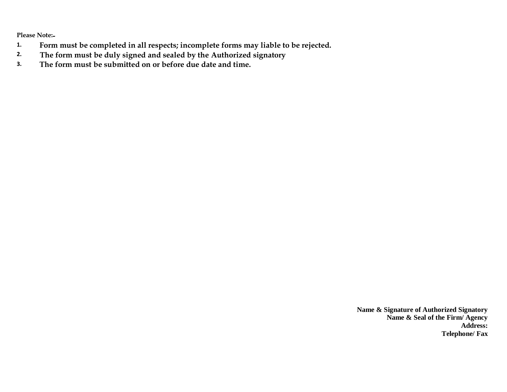**Please Note:-**

- **1. Form must be completed in all respects; incomplete forms may liable to be rejected.**
- **2. The form must be duly signed and sealed by the Authorized signatory**
- **3. The form must be submitted on or before due date and time.**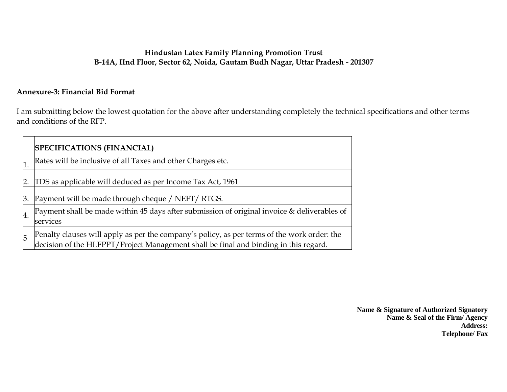### **Hindustan Latex Family Planning Promotion Trust B-14A, IInd Floor, Sector 62, Noida, Gautam Budh Nagar, Uttar Pradesh - 201307**

# **Annexure-3: Financial Bid Format**

I am submitting below the lowest quotation for the above after understanding completely the technical specifications and other terms and conditions of the RFP.

|    | <b>SPECIFICATIONS (FINANCIAL)</b>                                                                                                                                                |
|----|----------------------------------------------------------------------------------------------------------------------------------------------------------------------------------|
| 1. | Rates will be inclusive of all Taxes and other Charges etc.                                                                                                                      |
| 12 | TDS as applicable will deduced as per Income Tax Act, 1961                                                                                                                       |
| Β. | Payment will be made through cheque / NEFT/ RTGS.                                                                                                                                |
| 4. | Payment shall be made within 45 days after submission of original invoice & deliverables of<br>services                                                                          |
| 5  | Penalty clauses will apply as per the company's policy, as per terms of the work order: the decision of the HLFPPT/Project Management shall be final and binding in this regard. |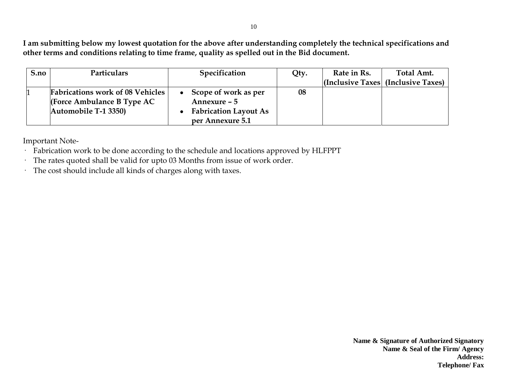**I am submitting below my lowest quotation for the above after understanding completely the technical specifications and other terms and conditions relating to time frame, quality as spelled out in the Bid document.**

| S.no | Particulars                             | Specification                | Qty. | Rate in Rs. | Total Amt.                                 |
|------|-----------------------------------------|------------------------------|------|-------------|--------------------------------------------|
|      |                                         |                              |      |             | $ $ (Inclusive Taxes $ $ (Inclusive Taxes) |
|      | <b>Fabrications work of 08 Vehicles</b> | • Scope of work as per       | 08   |             |                                            |
|      | (Force Ambulance B Type $AC$            | Annexure – 5                 |      |             |                                            |
|      | Automobile T-1 3350)                    | <b>Fabrication Layout As</b> |      |             |                                            |
|      |                                         | per Annexure 5.1             |      |             |                                            |

Important Note-

- · Fabrication work to be done according to the schedule and locations approved by HLFPPT
- · The rates quoted shall be valid for upto 03 Months from issue of work order.
- · The cost should include all kinds of charges along with taxes.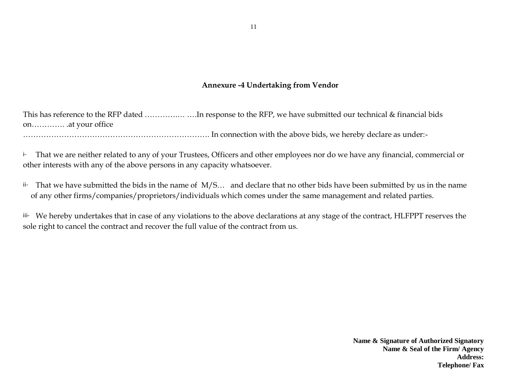### **Annexure -4 Undertaking from Vendor**

This has reference to the RFP dated ......................In response to the RFP, we have submitted our technical & financial bids on…………. .at your office

………………………………………………………………. In connection with the above bids, we hereby declare as under:-

i- That we are neither related to any of your Trustees, Officers and other employees nor do we have any financial, commercial or other interests with any of the above persons in any capacity whatsoever.

ii- That we have submitted the bids in the name of M/S… and declare that no other bids have been submitted by us in the name of any other firms/companies/proprietors/individuals which comes under the same management and related parties.

iii- We hereby undertakes that in case of any violations to the above declarations at any stage of the contract, HLFPPT reserves the sole right to cancel the contract and recover the full value of the contract from us.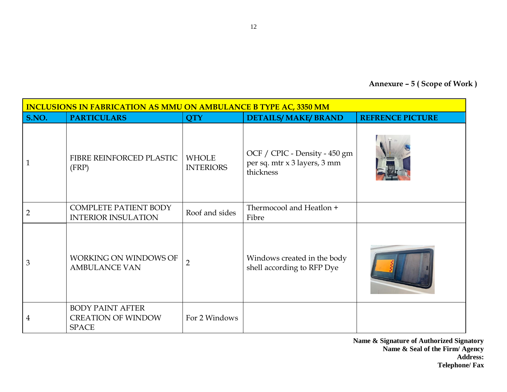**Annexure – 5 ( Scope of Work )**

| <b>INCLUSIONS IN FABRICATION AS MMU ON AMBULANCE B TYPE AC, 3350 MM</b> |                                                                      |                                  |                                                                            |                         |  |  |
|-------------------------------------------------------------------------|----------------------------------------------------------------------|----------------------------------|----------------------------------------------------------------------------|-------------------------|--|--|
| S.NO.                                                                   | <b>PARTICULARS</b>                                                   | <b>QTY</b>                       | <b>DETAILS/MAKE/BRAND</b>                                                  | <b>REFRENCE PICTURE</b> |  |  |
|                                                                         | FIBRE REINFORCED PLASTIC<br>(FRP)                                    | <b>WHOLE</b><br><b>INTERIORS</b> | OCF / CPIC - Density - 450 gm<br>per sq. mtr x 3 layers, 3 mm<br>thickness |                         |  |  |
| $\overline{2}$                                                          | <b>COMPLETE PATIENT BODY</b><br><b>INTERIOR INSULATION</b>           | Roof and sides                   | Thermocool and Heatlon +<br>Fibre                                          |                         |  |  |
| 3                                                                       | WORKING ON WINDOWS OF<br><b>AMBULANCE VAN</b>                        | $\overline{2}$                   | Windows created in the body<br>shell according to RFP Dye                  |                         |  |  |
| 4                                                                       | <b>BODY PAINT AFTER</b><br><b>CREATION OF WINDOW</b><br><b>SPACE</b> | For 2 Windows                    |                                                                            |                         |  |  |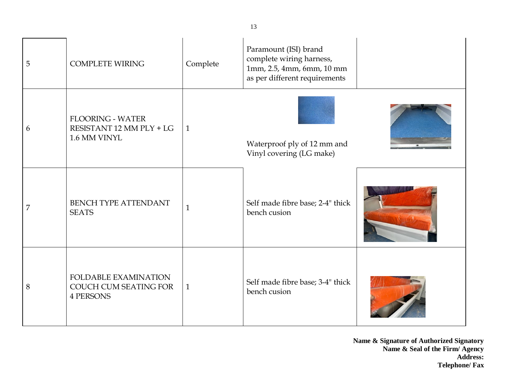| 5 | <b>COMPLETE WIRING</b>                                              | Complete     | Paramount (ISI) brand<br>complete wiring harness,<br>1mm, 2.5, 4mm, 6mm, 10 mm<br>as per different requirements |  |
|---|---------------------------------------------------------------------|--------------|-----------------------------------------------------------------------------------------------------------------|--|
| 6 | <b>FLOORING - WATER</b><br>RESISTANT 12 MM PLY + LG<br>1.6 MM VINYL | $\mathbf{1}$ | Waterproof ply of 12 mm and<br>Vinyl covering (LG make)                                                         |  |
| 7 | <b>BENCH TYPE ATTENDANT</b><br><b>SEATS</b>                         | 1            | Self made fibre base; 2-4" thick<br>bench cusion                                                                |  |
| 8 | FOLDABLE EXAMINATION<br>COUCH CUM SEATING FOR<br><b>4 PERSONS</b>   | $\mathbf{1}$ | Self made fibre base; 3-4" thick<br>bench cusion                                                                |  |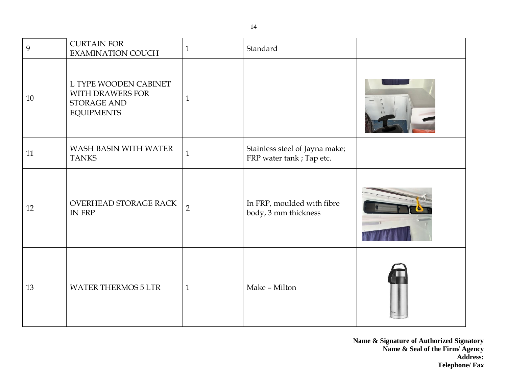| 9  | <b>CURTAIN FOR</b><br><b>EXAMINATION COUCH</b>                                | $\mathbf{1}$   | Standard                                                    |  |
|----|-------------------------------------------------------------------------------|----------------|-------------------------------------------------------------|--|
| 10 | L TYPE WOODEN CABINET<br>WITH DRAWERS FOR<br>STORAGE AND<br><b>EQUIPMENTS</b> | $\mathbf{1}$   |                                                             |  |
| 11 | WASH BASIN WITH WATER<br><b>TANKS</b>                                         | $\mathbf{1}$   | Stainless steel of Jayna make;<br>FRP water tank ; Tap etc. |  |
| 12 | OVERHEAD STORAGE RACK<br>IN FRP                                               | $\overline{2}$ | In FRP, moulded with fibre<br>body, 3 mm thickness          |  |
| 13 | <b>WATER THERMOS 5 LTR</b>                                                    | $\mathbf{1}$   | Make - Milton                                               |  |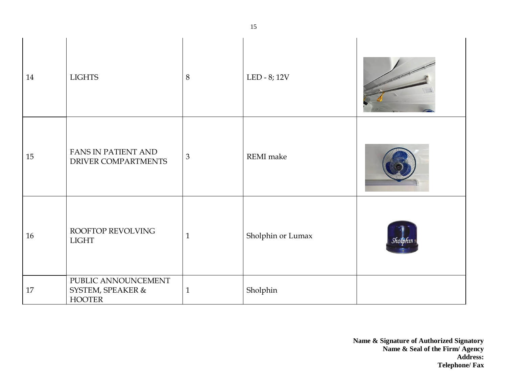| 14 | <b>LIGHTS</b>                                             | $\, 8$         | LED - 8; 12V      |          |
|----|-----------------------------------------------------------|----------------|-------------------|----------|
| 15 | FANS IN PATIENT AND<br>DRIVER COMPARTMENTS                | $\mathfrak{Z}$ | REMI make         |          |
| 16 | ROOFTOP REVOLVING<br><b>LIGHT</b>                         | $\mathbf{1}$   | Sholphin or Lumax | Sholphin |
| 17 | PUBLIC ANNOUNCEMENT<br>SYSTEM, SPEAKER &<br><b>HOOTER</b> | $\mathbf{1}$   | Sholphin          |          |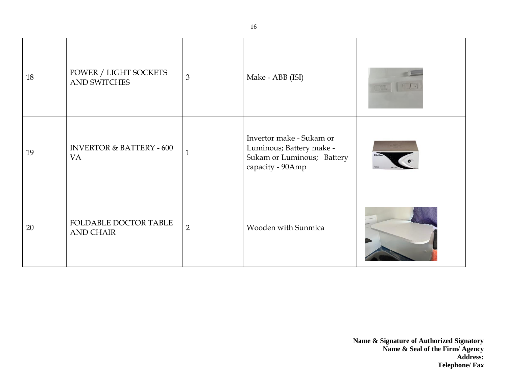| 18 | POWER / LIGHT SOCKETS<br><b>AND SWITCHES</b>     | 3              | Make - ABB (ISI)                                                                                       |  |
|----|--------------------------------------------------|----------------|--------------------------------------------------------------------------------------------------------|--|
| 19 | <b>INVERTOR &amp; BATTERY - 600</b><br><b>VA</b> | 1              | Invertor make - Sukam or<br>Luminous; Battery make -<br>Sukam or Luminous; Battery<br>capacity - 90Amp |  |
| 20 | FOLDABLE DOCTOR TABLE<br><b>AND CHAIR</b>        | $\overline{2}$ | Wooden with Sunmica                                                                                    |  |

16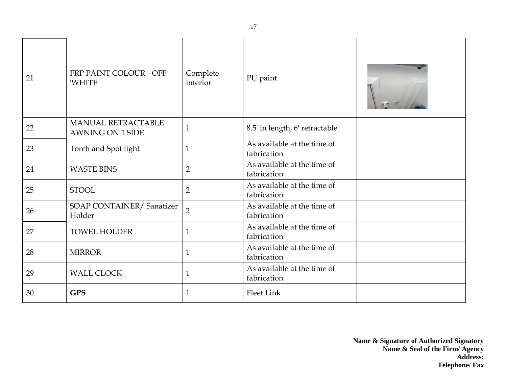| 21 | FRP PAINT COLOUR - OFF<br><b>WHITE</b>        | Complete<br>interior | PU paint                                   |  |
|----|-----------------------------------------------|----------------------|--------------------------------------------|--|
| 22 | MANUAL RETRACTABLE<br><b>AWNING ON 1 SIDE</b> | $\mathbf{1}$         | 8.5' in length, 6' retractable             |  |
| 23 | Torch and Spot light                          | $\mathbf{1}$         | As available at the time of<br>fabrication |  |
| 24 | <b>WASTE BINS</b>                             | $\overline{2}$       | As available at the time of<br>fabrication |  |
| 25 | <b>STOOL</b>                                  | $\overline{2}$       | As available at the time of<br>fabrication |  |
| 26 | SOAP CONTAINER/Sanatizer<br>Holder            | $\overline{2}$       | As available at the time of<br>fabrication |  |
| 27 | <b>TOWEL HOLDER</b>                           | $\mathbf{1}$         | As available at the time of<br>fabrication |  |
| 28 | <b>MIRROR</b>                                 | $\mathbf{1}$         | As available at the time of<br>fabrication |  |
| 29 | <b>WALL CLOCK</b>                             | $\mathbf{1}$         | As available at the time of<br>fabrication |  |
| 30 | <b>GPS</b>                                    | $\mathbf{1}$         | <b>Fleet Link</b>                          |  |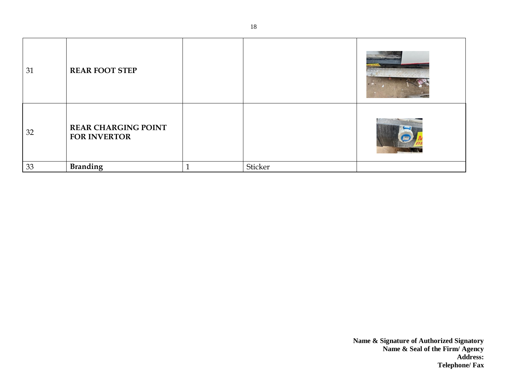| 31 | <b>REAR FOOT STEP</b>                             |         |  |
|----|---------------------------------------------------|---------|--|
| 32 | <b>REAR CHARGING POINT</b><br><b>FOR INVERTOR</b> |         |  |
| 33 | Branding                                          | Sticker |  |